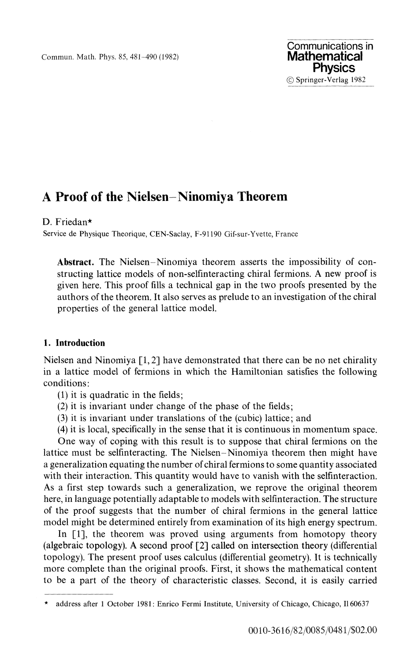Commun. Math. Phys. 85, 481-490 (1982)

# **A Proof of the Nielsen-Ninomiya Theorem**

## D. Friedan\*

Service de Physique Theorique, CEN-Saclay, F-91190 Gif-sur-Yvette, France

**Abstract.** The Nielsen-Ninomiya theorem asserts the impossibility of constructing lattice models of non-selfinteracting chiral fermions. A new proof is given here. This proof fills a technical gap in the two proofs presented by the authors of the theorem. It also serves as prelude to an investigation of the chiral properties of the general lattice model.

## **1. Introduction**

Nielsen and Ninomiya [1, 2] have demonstrated that there can be no net chirality in a lattice model of fermions in which the Hamiltonian satisfies the following conditions:

- (1) it is quadratic in the fields;
- (2) it is invariant under change of the phase of the fields;
- (3) it is invariant under translations of the (cubic) lattice; and
- (4) it is local, specifically in the sense that it is continuous in momentum space.

One way of coping with this result is to suppose that chiral fermions on the lattice must be selfmteracting. The Nielsen-Ninomiya theorem then might have a generalization equating the number of chiral fermions to some quantity associated with their interaction. This quantity would have to vanish with the selfinteraction. As a first step towards such a generalization, we reprove the original theorem here, in language potentially adaptable to models with selfinteraction. The structure of the proof suggests that the number of chiral fermions in the general lattice model might be determined entirely from examination of its high energy spectrum.

In [1], the theorem was proved using arguments from homotopy theory (algebraic topology). A second proof [2] called on intersection theory (differential topology). The present proof uses calculus (differential geometry). It is technically more complete than the original proofs. First, it shows the mathematical content to be a part of the theory of characteristic classes. Second, it is easily carried

<sup>\*</sup> address after 1 October 1981: Enrico Fermi Institute, University of Chicago, Chicago, Il 60637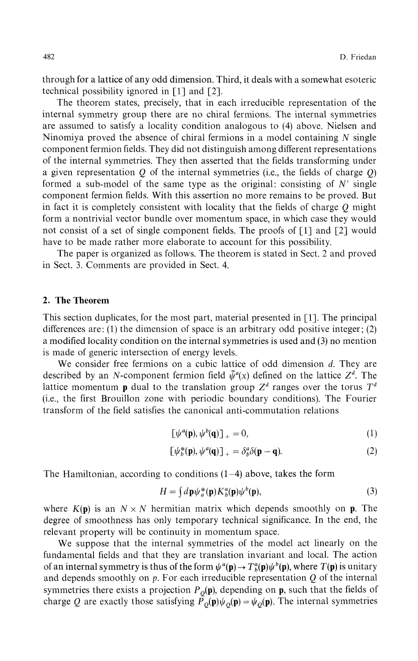through for a lattice of any odd dimension. Third, it deals with a somewhat esoteric technical possibility ignored in [1] and [2].

The theorem states, precisely, that in each irreducible representation of the internal symmetry group there are no chiral fermions. The internal symmetries are assumed to satisfy a locality condition analogous to (4) above. Nielsen and Ninomiya proved the absence of chiral fermions in a model containing *N* single component fermion fields. They did not distinguish among different representations of the internal symmetries. They then asserted that the fields transforming under a given representation *Q* of the internal symmetries (i.e., the fields of charge *Q)* formed a sub-model of the same type as the original: consisting of *N'* single component fermion fields. With this assertion no more remains to be proved. But in fact it is completely consistent with locality that the fields of charge *Q* might form a nontrivial vector bundle over momentum space, in which case they would not consist of a set of single component fields. The proofs of [1] and [2] would have to be made rather more elaborate to account for this possibility.

The paper is organized as follows. The theorem is stated in Sect. 2 and proved in Sect. 3. Comments are provided in Sect. 4.

#### **2. The Theorem**

This section duplicates, for the most part, material presented in [1]. The principal differences are: (1) the dimension of space is an arbitrary odd positive integer; (2) a modified locality condition on the internal symmetries is used and (3) no mention is made of generic intersection of energy levels.

We consider free fermions on a cubic lattice of odd dimension *d.* They are described by an *N*-component fermion field  $\tilde{\psi}^a(x)$  defined on the lattice  $Z^d$ . The lattice momentum **p** dual to the translation group  $Z^d$  ranges over the torus  $T^d$ (i.e., the first Brouillon zone with periodic boundary conditions). The Fourier transform of the field satisfies the canonical anti-commutation relations

$$
\left[\psi^a(\mathbf{p}), \psi^b(\mathbf{q})\right]_+ = 0,\tag{1}
$$

$$
\left[\psi_b^*(\mathbf{p}), \psi^a(\mathbf{q})\right]_+ = \delta_b^a \delta(\mathbf{p} - \mathbf{q}).\tag{2}
$$

The Hamiltonian, according to conditions  $(1-4)$  above, takes the form

$$
H = \int d\mathbf{p} \psi_a^*(\mathbf{p}) K_b^a(\mathbf{p}) \psi^b(\mathbf{p}),\tag{3}
$$

where  $K(p)$  is an  $N \times N$  hermitian matrix which depends smoothly on **p**. The degree of smoothness has only temporary technical significance. In the end, the relevant property will be continuity in momentum space.

We suppose that the internal symmetries of the model act linearly on the fundamental fields and that they are translation invariant and local. The action of an internal symmetry is thus of the form  $\psi^a(\mathbf{p}) \to T^a_b(\mathbf{p})\psi^b(\mathbf{p})$ , where  $T(\mathbf{p})$  is unitary and depends smoothly on *p.* For each irreducible representation *Q* of the internal symmetries there exists a projection  $P_Q(\mathbf{p})$ , depending on  $\mathbf{p}$ , such that the fields of charge Q are exactly those satisfying  $P_Q(\mathbf{p}) \psi_Q(\mathbf{p}) = \psi_Q(\mathbf{p})$ . The internal symmetries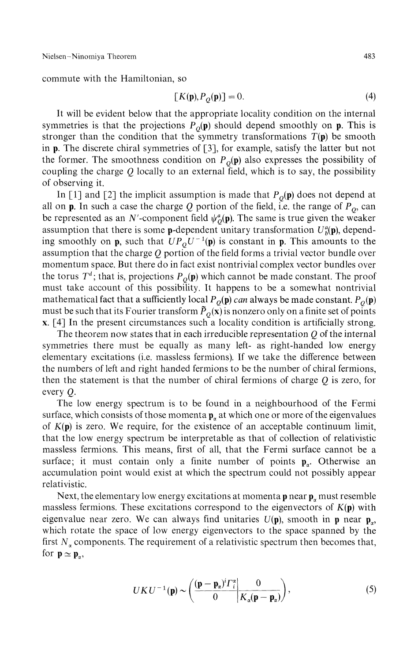commute with the Hamiltonian, so

$$
[K(\mathbf{p}), P_Q(\mathbf{p})] = 0.
$$
\n(4)

It will be evident below that the appropriate locality condition on the internal symmetries is that the projections  $P_Q(\mathbf{p})$  should depend smoothly on  $\mathbf{p}$ . This is stronger than the condition that the symmetry transformations  $T(\mathbf{p})$  be smooth in p. The discrete chiral symmetries of [3], for example, satisfy the latter but not the former. The smoothness condition on  $P_Q(\mathbf{p})$  also expresses the possibility of coupling the charge *Q* locally to an external field, which is to say, the possibility of observing it.

In [1] and [2] the implicit assumption is made that  $P_Q(\mathbf{p})$  does not depend at all on **p**. In such a case the charge  $Q$  portion of the field, i.e. the range of  $P_Q$ , can be represented as an N'-component field  $\psi_o^a(\mathbf{p})$ . The same is true given the weaker assumption that there is some **p**-dependent unitary transformation  $U_p^a(\mathbf{p})$ , depending smoothly on **p**, such that  $UP_0U^{-1}(\mathbf{p})$  is constant in **p**. This amounts to the assumption that the charge *Q* portion of the field forms a trivial vector bundle over momentum space. But there do in fact exist nontrivial complex vector bundles over the torus  $T^d$ ; that is, projections  $P_o(\mathbf{p})$  which cannot be made constant. The proof must take account of this possibility. It happens to be a somewhat nontrivial mathematical fact that a sufficiently local  $P<sub>O</sub>(\mathbf{p})$  can always be made constant.  $P<sub>O</sub>(\mathbf{p})$ must be such that its Fourier transform  $\tilde{P}_O(x)$  is nonzero only on a finite set of points x. [4] In the present circumstances such a locality condition is artificially strong.

The theorem now states that in each irreducible representation *Q* of the internal symmetries there must be equally as many left- as right-handed low energy elementary excitations (i.e. massless fermions). If we take the difference between the numbers of left and right handed fermions to be the number of chiral fermions, then the statement is that the number of chiral fermions of charge *Q* is zero, for every *Q.*

The low energy spectrum is to be found in a neighbourhood of the Fermi surface, which consists of those momenta  $p_a$  at which one or more of the eigenvalues of  $K(p)$  is zero. We require, for the existence of an acceptable continuum limit, that the low energy spectrum be interpretable as that of collection of relativistic massless fermions. This means, first of all, that the Fermi surface cannot be a surface; it must contain only a finite number of points  $\mathbf{p}_n$ . Otherwise an accumulation point would exist at which the spectrum could not possibly appear relativistic.

Next, the elementary low energy excitations at momenta  $\mathbf{p}$  near  $\mathbf{p}_{\alpha}$  must resemble massless fermions. These excitations correspond to the eigenvectors of  $K(\mathbf{p})$  with eigenvalue near zero. We can always find unitaries  $U(\mathbf{p})$ , smooth in **p** near **p**<sub>n</sub>, which rotate the space of low energy eigenvectors to the space spanned by the first  $N_a$  components. The requirement of a relativistic spectrum then becomes that, for  $p \simeq p_{\alpha}$ ,

$$
UKU^{-1}(\mathbf{p}) \sim \left(\frac{(\mathbf{p} - \mathbf{p}_{\alpha})^i \Gamma_i^{\alpha}}{0} \middle| \frac{0}{K_{\alpha}(\mathbf{p} - \mathbf{p}_{\alpha})}\right),\tag{5}
$$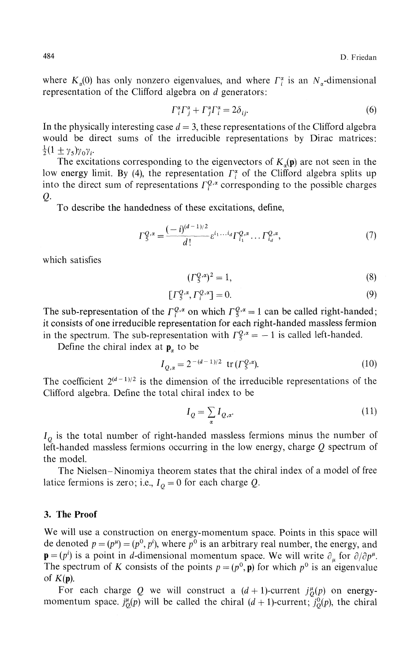where  $K_n(0)$  has only nonzero eigenvalues, and where  $\Gamma_i^{\alpha}$  is an  $N_{\alpha}$ -dimensional representation of the Clifford algebra on *d* generators:

$$
\Gamma_i^{\alpha} \Gamma_j^{\alpha} + \Gamma_j^{\alpha} \Gamma_i^{\alpha} = 2\delta_{ij}.
$$
\n<sup>(6)</sup>

In the physically interesting case  $d = 3$ , these representations of the Clifford algebra would be direct sums of the irreducible representations by Dirac matrices:  $\frac{1}{2}(1 \pm \gamma_5)\gamma_0\gamma_1$ 

The excitations corresponding to the eigenvectors of  $K_n(\mathbf{p})$  are not seen in the low energy limit. By (4), the representation  $\Gamma_i^{\alpha}$  of the Clifford algebra splits up into the direct sum of representations *Γψ a* corresponding to the possible charges Q.

To describe the handedness of these excitations, define,

$$
\Gamma_5^{Q,\alpha} = \frac{(-i)^{(d-1)/2}}{d!} \varepsilon^{i_1 \dots i_d} \Gamma_{i_1}^{Q,\alpha} \dots \Gamma_{i_d}^{Q,\alpha},\tag{7}
$$

which satisfies

$$
(\Gamma_5^{Q,\alpha})^2 = 1,\t\t(8)
$$

$$
\left[\Gamma_{5}^{Q,\alpha},\Gamma_{i}^{Q,\alpha}\right]=0.\tag{9}
$$

The sub-representation of the  $\Gamma_1^{Q,\alpha}$  on which  $\Gamma_5^{Q,\alpha} = 1$  can be called right-handed; it consists of one irreducible representation for each right-handed massless fermion in the spectrum. The sub-representation with  $\Gamma_5^{Q,\alpha} = -1$  is called left-handed.

Define the chiral index at  $\mathbf{p}_{\alpha}$  to be

$$
I_{Q,\alpha} = 2^{-(d-1)/2} \text{ tr}(\Gamma_{5}^{Q,\alpha}).
$$
 (10)

The coefficient  $2^{(d-1)/2}$  is the dimension of the irreducible representations of the Clifford algebra. Define the total chiral index to be

$$
I_Q = \sum_{\alpha} I_{Q,\alpha}.\tag{11}
$$

*IQ* is the total number of right-handed massless fermions minus the number of left-handed massless fermions occurring in the low energy, charge *Q* spectrum of the model.

The Nielsen-Ninomiya theorem states that the chiral index of a model of free latice fermions is zero; i.e.,  $I_0 = 0$  for each charge  $Q$ .

## 3. The Proof

We will use a construction on energy-momentum space. Points in this space will de denoted  $p = (p^{\mu}) = (p^0, p^i)$ , where  $p^0$  is an arbitrary real number, the energy, and  $\mathbf{p} = (p^i)$  is a point in *d*-dimensional momentum space. We will write  $\partial_{\mu}$  for  $\partial/\partial p^{\mu}$ . The spectrum of *K* consists of the points  $p = (p^0, \mathbf{p})$  for which  $p^0$  is an eigenvalue of  $K(p)$ .

For each charge Q we will construct a  $(d + 1)$ -current  $j^{\mu}_{0}(p)$  on energymomentum space,  $j_{0}^{\mu}(p)$  will be called the chiral  $(d + 1)$ -current;  $j_{0}^{0}(p)$ , the chiral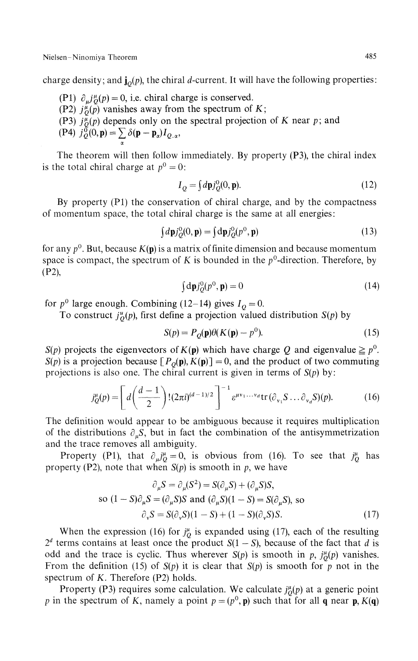Nielsen-Ninomiya Theorem 485

charge density; and  $\mathbf{j}_0(p)$ , the chiral d-current. It will have the following properties:

- (P1)  $\partial_{\mu} j_{0}^{\mu}(p) = 0$ , i.e. chiral charge is conserved.
- (P2)  $j^{\mu}_{Q}(\bar{p})$  vanishes away from the spectrum of K;
- (P3)  $j_{\theta}^{\mu}(p)$  depends only on the spectral projection of *K* near *p*; and
- (P4)  $j_{Q}^{\tilde{0}}(0, \mathbf{p}) = \sum \delta(\mathbf{p} \mathbf{p}_{\alpha}) I_{Q,\alpha},$

The theorem will then follow immediately. By property (P3), the chiral index is the total chiral charge at  $p^0 = 0$ :

$$
I_Q = \int d\mathbf{p} j_Q^0(0, \mathbf{p}).\tag{12}
$$

By property (PI) the conservation of chiral charge, and by the compactness of momentum space, the total chiral charge is the same at all energies:

$$
\int d\mathbf{p} j_O^0(0, \mathbf{p}) = \int d\mathbf{p} j_O^0(p^0, \mathbf{p})
$$
\n(13)

for any  $p^0$ . But, because  $K(p)$  is a matrix of finite dimension and because momentum space is compact, the spectrum of K is bounded in the  $p^0$ -direction. Therefore, by (P2),

$$
\int d\mathbf{p} j_0^0(p^0, \mathbf{p}) = 0 \tag{14}
$$

for  $p^0$  large enough. Combining (12–14) gives  $I_Q = 0$ .

To construct  $j^u_Q(p)$ , first define a projection valued distribution  $S(p)$  by

$$
S(p) = P_Q(\mathbf{p})\theta(K(\mathbf{p}) - p^0). \tag{15}
$$

*S(p)* projects the eigenvectors of  $K(p)$  which have charge Q and eigenvalue  $\geq p^0$ . *S(p)* is a projection because  $[P<sub>O</sub>(p), K(p)] = 0$ , and the product of two commuting projections is also one. The chiral current is given in terms of *S(p)* by:

$$
j_Q^{\mu}(p) = \left[ d\left(\frac{d-1}{2}\right)! (2\pi i)^{(d-1)/2} \right]^{-1} \varepsilon^{\mu \nu_1 \dots \nu_d} \text{tr}\left(\partial_{\nu_1} S \dots \partial_{\nu_d} S\right)(p). \tag{16}
$$

The definition would appear to be ambiguous because it requires multiplication of the distributions  $\partial_{\mu} S$ , but in fact the combination of the antisymmetrization and the trace removes all ambiguity.

Property (P1), that  $\partial_{\mu} j^{\mu} = 0$ , is obvious from (16). To see that  $j^{\mu}$  has property (P2), note that when  $S(p)$  is smooth in p, we have

$$
\partial_{\mu}S = \partial_{\mu}(S^2) = S(\partial_{\mu}S) + (\partial_{\mu}S)S,
$$
  
so  $(1 - S)\partial_{\mu}S = (\partial_{\mu}S)S$  and  $(\partial_{\mu}S)(1 - S) = S(\partial_{\mu}S)$ , so  

$$
\partial_{\nu}S = S(\partial_{\nu}S)(1 - S) + (1 - S)(\partial_{\nu}S)S.
$$
 (17)

When the expression (16) for  $j^{\mu}$  is expanded using (17), each of the resulting  $2<sup>d</sup>$  terms contains at least once the product  $S(1 - S)$ , because of the fact that *d* is odd and the trace is cyclic. Thus wherever  $S(p)$  is smooth in p,  $j^{\mu}_{0}(p)$  vanishes. From the definition (15) of *S(p)* it is clear that *S(p)* is smooth for p not in the spectrum of *K.* Therefore (P2) holds.

Property (P3) requires some calculation. We calculate  $j^{\mu}_{0}(p)$  at a generic point p in the spectrum of K, namely a point  $p = (p^0, \mathbf{p})$  such that for all q near  $\mathbf{p}, K(\mathbf{q})$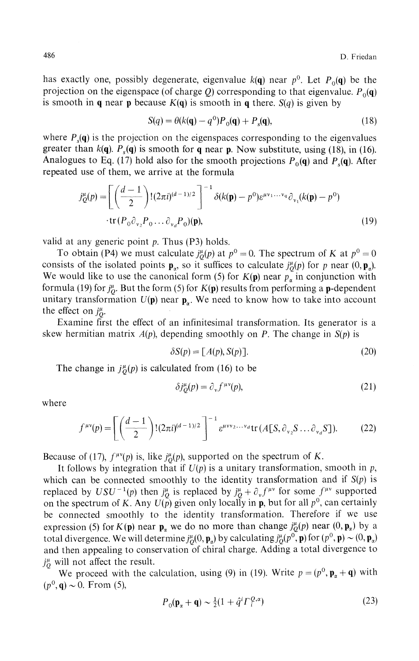has exactly one, possibly degenerate, eigenvalue  $k(\mathbf{q})$  near  $p^0$ . Let  $P_0(\mathbf{q})$  be the projection on the eigenspace (of charge  $Q$ ) corresponding to that eigenvalue.  $P_0(\mathbf{q})$ is smooth in **q** near **p** because  $K(q)$  is smooth in **q** there.  $S(q)$  is given by

$$
S(q) = \theta(k(\mathbf{q}) - q^0)P_0(\mathbf{q}) + P_s(\mathbf{q}),
$$
\n(18)

where  $P_{s}(\mathbf{q})$  is the projection on the eigenspaces corresponding to the eigenvalues greater than  $k(q)$ .  $P_s(q)$  is smooth for q near p. Now substitute, using (18), in (16). Analogues to Eq. (17) hold also for the smooth projections  $P_0(\mathbf{q})$  and  $P_s(\mathbf{q})$ . After repeated use of them, we arrive at the formula

$$
j_{Q}^{\mu}(p) = \left[ \left( \frac{d-1}{2} \right)! (2\pi i)^{(d-1)/2} \right]^{-1} \delta(k(\mathbf{p}) - p^0) \varepsilon^{\mu v_1 \dots v_q} \partial_{v_1}(k(\mathbf{p}) - p^0)
$$
  
tr $(P_0 \partial_{v_2} P_0 \dots \partial_{v_d} P_0)(\mathbf{p}),$  (19)

valid at any generic point  $p$ . Thus (P3) holds.

To obtain (P4) we must calculate  $j_0^{\mu}(p)$  at  $p^0 = 0$ . The spectrum of *K* at  $p^0 = 0$ consists of the isolated points  $\mathbf{p}_x$ , so it suffices to calculate  $j_p^{\mu}(p)$  for p near  $(0, \mathbf{p}_x)$ . We would like to use the canonical form (5) for  $K(\mathbf{p})$  near  $p_{\alpha}$  in conjunction with formula (19) for  $j^{\mu}_{O}$ . But the form (5) for  $K(p)$  results from performing a **p**-dependent unitary transformation  $U(\mathbf{p})$  near  $\mathbf{p}_{\alpha}$ . We need to know how to take into account the effect on  $j^{\mu}_{0}$ .

Examine first the effect of an infinitesimal transformation. Its generator is a skew hermitian matrix  $A(p)$ , depending smoothly on P. The change in  $S(p)$  is

$$
\delta S(p) = [A(p), S(p)]. \tag{20}
$$

The change in  $j^{\mu}_{\rho}(p)$  is calculated from (16) to be

$$
\delta j^{\mu}_{\mathcal{Q}}(p) = \partial_{\nu} f^{\mu\nu}(p),\tag{21}
$$

where

$$
f^{\mu\nu}(p) = \left[ \left( \frac{d-1}{2} \right)! (2\pi i)^{(d-1)/2} \right]^{-1} \varepsilon^{\mu\nu\nu_2 \dots \nu_d} \text{tr}\left( A[S, \partial_{\nu_2} S \dots \partial_{\nu_d} S] \right). \tag{22}
$$

Because of (17),  $f^{\mu\nu}(p)$  is, like  $j^{\mu}_{0}(p)$ , supported on the spectrum of *K*.

It follows by integration that if  $U(p)$  is a unitary transformation, smooth in  $p$ , which can be connected smoothly to the identity transformation and if *S(p)* is replaced by  $USU^{-1}(p)$  then  $j^{\mu}_O$  is replaced by  $j^{\mu}_O + \partial_y f^{\mu\nu}$  for some  $f^{\mu\nu}$  supported on the spectrum of K. Any  $U(p)$  given only locally in p, but for all  $p^0$ , can certainly be connected smoothly to the identity transformation. Therefore if we use expression (5) for  $K(\mathbf{p})$  near  $\mathbf{p}_{\alpha}$  we do no more than change  $j_{Q}^{\mu}(p)$  near  $(0, \mathbf{p}_{\alpha})$  by a total divergence. We will determine  $j^{\mu}_0(0, \mathbf{p}_\alpha)$  by calculating  $j^{\mu}_0(p^0, \mathbf{p})$  for  $(p^0, \mathbf{p}) \sim (0, \mathbf{p}_\alpha)$ and then appealing to conservation of chiral charge. Adding a total divergence to  $j_0^{\mu}$  will not affect the result.

We proceed with the calculation, using (9) in (19). Write  $p = (p^0, \mathbf{p}_\alpha + \mathbf{q})$  with  $(p^{0}, \mathbf{q}) \sim 0$ . From (5),

$$
P_0(\mathbf{p}_\alpha + \mathbf{q}) \sim \frac{1}{2} (1 + \hat{q}^i \Gamma_i^{Q,\alpha}) \tag{23}
$$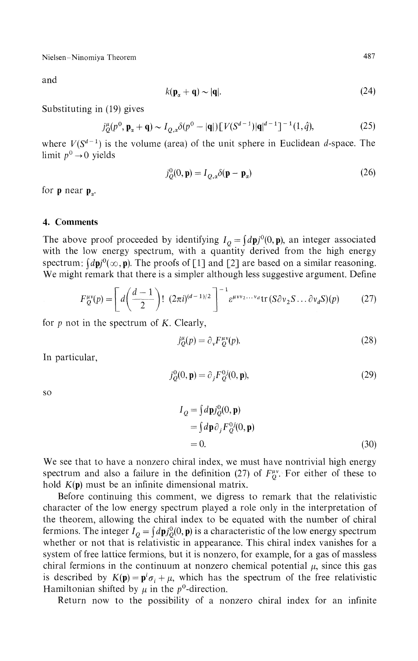Nielsen-Ninomiya Theorem 487

and

$$
k(\mathbf{p}_{\alpha} + \mathbf{q}) \sim |\mathbf{q}|. \tag{24}
$$

Substituting in (19) gives

$$
j_{Q}^{\mu}(p^{0}, \mathbf{p}_{\alpha} + \mathbf{q}) \sim I_{Q,a} \delta(p^{0} - |\mathbf{q}|) \left[ V(S^{d-1}) |\mathbf{q}|^{d-1} \right]^{-1} (1, \hat{q}), \tag{25}
$$

where  $V(S^{d-1})$  is the volume (area) of the unit sphere in Euclidean d-space. The limit  $p^0 \rightarrow 0$  yields

$$
j_Q^0(0, \mathbf{p}) = I_{Q, \alpha} \delta(\mathbf{p} - \mathbf{p}_\alpha)
$$
 (26)

for **p** near  $\mathbf{p}_a$ .

### **4. Comments**

The above proof proceeded by identifying  $I_Q = \int dp j^0(0, \mathbf{p})$ , an integer associated with the low energy spectrum, with a quantity derived from the high energy spectrum:  $(d\mathbf{p}^i)(\infty, \mathbf{p})$ . The proofs of [1] and [2] are based on a similar reasoning. We might remark that there is a simpler although less suggestive argument. Define

$$
F_Q^{\mu\nu}(p) = \left[ d\left(\frac{d-1}{2}\right)! (2\pi i)^{(d-1)/2} \right]^{-1} \varepsilon^{\mu\nu\nu_2...\nu_d} \text{tr}\left(S\partial\nu_2 S...\partial\nu_d S\right)(p) \tag{27}
$$

for *p* not in the spectrum of *K.* Clearly,

$$
j^{\mu}_{\mathcal{Q}}(p) = \partial_{\nu} F^{\mu\nu}_{\mathcal{Q}}(p). \tag{28}
$$

In particular,

$$
j_Q^0(0, \mathbf{p}) = \partial_j F_Q^0(0, \mathbf{p}),\tag{29}
$$

so

$$
I_Q = \int d\mathbf{p} j_Q^0(0, \mathbf{p})
$$
  
=  $\int d\mathbf{p} \partial_j F_Q^0(0, \mathbf{p})$   
= 0. (30)

We see that to have a nonzero chiral index, we must have nontrivial high energy spectrum and also a failure in the definition (27) of  $F^{\mu\nu}_{\alpha}$ . For either of these to hold  $K(\mathbf{p})$  must be an infinite dimensional matrix.

Before continuing this comment, we digress to remark that the relativistic character of the low energy spectrum played a role only in the interpretation of the theorem, allowing the chiral index to be equated with the number of chiral fermions. The integer  $I_Q = \int d\mathbf{p} j_Q^0(0, \mathbf{p})$  is a characteristic of the low energy spectrum whether or not that is relativistic in appearance. This chiral index vanishes for a system of free lattice fermions, but it is nonzero, for example, for a gas of massless chiral fermions in the continuum at nonzero chemical potential  $\mu$ , since this gas is described by  $K(\mathbf{p}) = \mathbf{p}^i \sigma_i + \mu$ , which has the spectrum of the free relativistic Hamiltonian shifted by  $\mu$  in the p<sup>0</sup>-direction.

Return now to the possibility of a nonzero chiral index for an infinite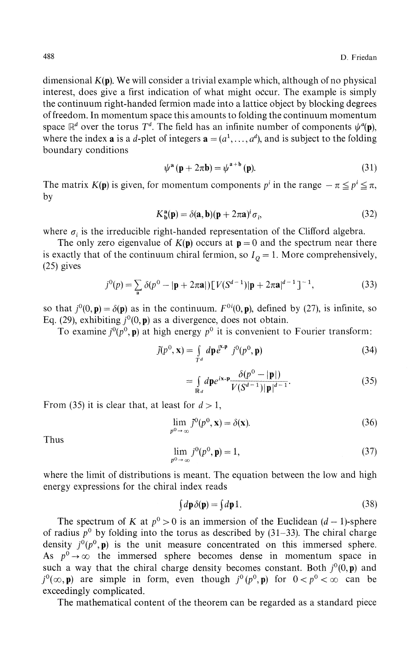dimensional  $K(p)$ . We will consider a trivial example which, although of no physical interest, does give a first indication of what might occur. The example is simply the continuum right-handed fermion made into a lattice object by blocking degrees of freedom. In momentum space this amounts to folding the continuum momentum space  $\mathbb{R}^d$  over the torus  $T^d$ . The field has an infinite number of components  $\psi^a(\mathbf{p})$ , where the index **a** is a d-plet of integers  $\mathbf{a} = (a^1, \dots, a^d)$ , and is subject to the folding boundary conditions

$$
\psi^{\mathbf{a}}\left(\mathbf{p} + 2\pi\mathbf{b}\right) = \psi^{\mathbf{a} + \mathbf{b}}\left(\mathbf{p}\right).
$$
 (31)

The matrix  $K(\mathbf{p})$  is given, for momentum components  $p^i$  in the range  $-\pi \leq p^i \leq \pi$ , by

$$
K_{\mathbf{b}}^{\mathbf{a}}(\mathbf{p}) = \delta(\mathbf{a}, \mathbf{b})(\mathbf{p} + 2\pi \mathbf{a})^i \sigma_i,
$$
 (32)

where  $\sigma_i$  is the irreducible right-handed representation of the Clifford algebra.

The only zero eigenvalue of  $K(p)$  occurs at  $p = 0$  and the spectrum near there is exactly that of the continuum chiral fermion, so  $I<sub>Q</sub> = 1$ . More comprehensively, (25) gives

$$
j^{0}(p) = \sum_{\mathbf{a}} \delta(p^{0} - |\mathbf{p} + 2\pi \mathbf{a}|) [V(S^{d-1})|\mathbf{p} + 2\pi \mathbf{a}|^{d-1}]^{-1},
$$
\n(33)

so that  $j^0(0, \mathbf{p}) = \delta(\mathbf{p})$  as in the continuum.  $F^{0i}(0, \mathbf{p})$ , defined by (27), is infinite, so Eq. (29), exhibiting  $j^0(0, \mathbf{p})$  as a divergence, does not obtain.

To examine  $j^0(p^0, \mathbf{p})$  at high energy  $p^0$  it is convenient to Fourier transform:

$$
\tilde{j}(p^0, \mathbf{x}) = \int_{T^d} d\mathbf{p} \, e^{i\mathbf{x} \cdot \mathbf{p}} \, j^0(p^0, \mathbf{p}) \tag{34}
$$

$$
= \int_{\mathbb{R}^d} d\mathbf{p} e^{i\mathbf{x} \cdot \mathbf{p}} \frac{\delta(p^0 - |\mathbf{p}|)}{V(S^{d-1}) |\mathbf{p}|^{d-1}}.
$$
 (35)

From (35) it is clear that, at least for  $d > 1$ ,

$$
\lim_{p^0 \to \infty} \tilde{j}^0(p^0, \mathbf{x}) = \delta(\mathbf{x}).
$$
\n(36)

Thus

$$
\lim_{p^0 \to \infty} j^0(p^0, \mathbf{p}) = 1,
$$
\n(37)

where the limit of distributions is meant. The equation between the low and high energy expressions for the chiral index reads

$$
\int d\mathbf{p}\,\delta(\mathbf{p}) = \int d\mathbf{p}\,1.
$$
\n(38)

The spectrum of *K* at  $p^0 > 0$  is an immersion of the Euclidean  $(d-1)$ -sphere of radius  $p^0$  by folding into the torus as described by  $(31-33)$ . The chiral charge density  $j^0(p^0, \mathbf{p})$  is the unit measure concentrated on this immersed sphere. As  $p^0 \rightarrow \infty$  the immersed sphere becomes dense in momentum space in such a way that the chiral charge density becomes constant. Both  $i^{0}(0, \mathbf{p})$  and  $j^0(\infty, \mathbf{p})$  are simple in form, even though  $j^0(p^0, \mathbf{p})$  for  $0 < p^0 < \infty$  can be exceedingly complicated.

The mathematical content of the theorem can be regarded as a standard piece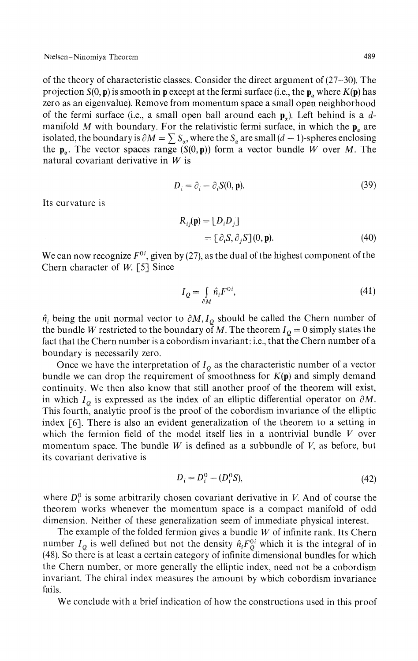of the theory of characteristic classes. Consider the direct argument of (27-30). The projection  $S(0, p)$  is smooth in **p** except at the fermi surface (i.e., the  $p_{\alpha}$  where  $K(p)$  has zero as an eigenvalue). Remove from momentum space a small open neighborhood of the fermi surface (i.e., a small open ball around each  $\mathbf{p}_n$ ). Left behind is a dmanifold M with boundary. For the relativistic fermi surface, in which the  $p_a$  are isolated, the boundary is  $\partial M = \sum S_\alpha$ , where the  $S_\alpha$  are small  $(d-1)$ -spheres enclosing the  $p_a$ . The vector spaces range  $(S(0, p))$  form a vector bundle *W* over *M*. The natural covariant derivative in *W* is

$$
D_i = \partial_i - \partial_i S(0, \mathbf{p}).
$$
\n(39)

Its curvature is

$$
R_{ij}(\mathbf{p}) = [D_i D_j]
$$
  
=  $[\partial_i S, \partial_j S](0, \mathbf{p}).$  (40)

We can now recognize  $F^{0i}$ , given by (27), as the dual of the highest component of the Chern character of *W.* [5] Since

$$
I_Q = \int_{\partial M} \hat{n}_i F^{0i},\tag{41}
$$

*t* being the unit normal vector to  $\partial M$ ,  $I_Q$  should be called the Chern number of the bundle *W* restricted to the boundary of *M*. The theorem  $I_Q = 0$  simply states the fact that the Chern number is a cobordism invariant: i.e., that the Chern number of a boundary is necessarily zero.

Once we have the interpretation of  $I_Q$  as the characteristic number of a vector bundle we can drop the requirement of smoothness for  $K(p)$  and simply demand continuity. We then also know that still another proof of the theorem will exist, in which  $I_Q$  is expressed as the index of an elliptic differential operator on  $\partial M$ . This fourth, analytic proof is the proof of the cobordism invariance of the elliptic index [6]. There is also an evident generalization of the theorem to a setting in which the fermion field of the model itself lies in a nontrivial bundle *V* over momentum space. The bundle *W* is defined as a subbundle of *V,* as before, but its covariant derivative is

$$
D_i = D_i^0 - (D_i^0 S), \tag{42}
$$

where  $D_i^0$  is some arbitrarily chosen covariant derivative in *V*. And of course the theorem works whenever the momentum space is a compact manifold of odd dimension. Neither of these generalization seem of immediate physical interest.

The example of the folded fermion gives a bundle *W* of infinite rank. Its Chern number  $I_Q$  is well defined but not the density  $\hat{n}_i F_Q^0$  which it is the integral of in (48). So there is at least a certain category of infinite dimensional bundles for which the Chern number, or more generally the elliptic index, need not be a cobordism invariant. The chiral index measures the amount by which cobordism invariance fails.

We conclude with a brief indication of how the constructions used in this proof